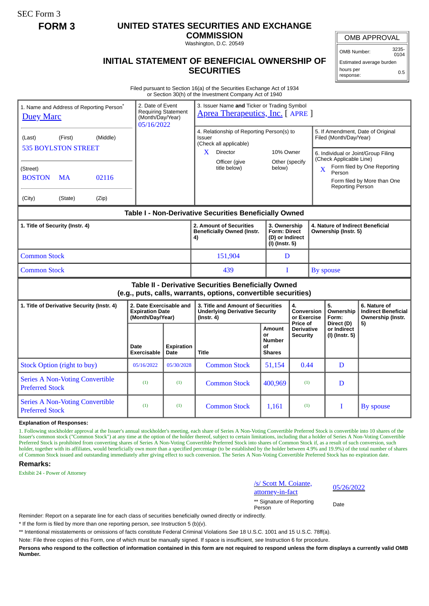SEC Form 3

## **FORM 3 UNITED STATES SECURITIES AND EXCHANGE**

**COMMISSION** Washington, D.C. 20549

OMB APPROVAL

OMB Number: 3235- 0104

**INITIAL STATEMENT OF BENEFICIAL OWNERSHIP OF SECURITIES**

Estimated average burden hours per response: 0.5

Filed pursuant to Section 16(a) of the Securities Exchange Act of 1934 or Section 30(h) of the Investment Company Act of 1940

| 1. Name and Address of Reporting Person <sup>®</sup><br><b>Duey Marc</b>                                              | 2. Date of Event<br>(Month/Day/Year)<br>05/16/2022                    | <b>Requiring Statement</b> | 3. Issuer Name and Ticker or Trading Symbol<br>Aprea Therapeutics, Inc. [APRE]                         |                                                      |                                                                          |  |                                                                                                                                                                                                                                                  |                                                                 |  |
|-----------------------------------------------------------------------------------------------------------------------|-----------------------------------------------------------------------|----------------------------|--------------------------------------------------------------------------------------------------------|------------------------------------------------------|--------------------------------------------------------------------------|--|--------------------------------------------------------------------------------------------------------------------------------------------------------------------------------------------------------------------------------------------------|-----------------------------------------------------------------|--|
| (Middle)<br>(First)<br>(Last)<br><b>535 BOYLSTON STREET</b>                                                           |                                                                       |                            | 4. Relationship of Reporting Person(s) to<br>Issuer<br>(Check all applicable)<br><b>Director</b><br>X. |                                                      | 10% Owner<br>Other (specify<br>below)                                    |  | 5. If Amendment, Date of Original<br>Filed (Month/Day/Year)<br>6. Individual or Joint/Group Filing<br>(Check Applicable Line)<br>Form filed by One Reporting<br>$\mathbf{X}$<br>Person<br>Form filed by More than One<br><b>Reporting Person</b> |                                                                 |  |
| (Street)<br><b>BOSTON</b><br>02116<br>MA                                                                              |                                                                       |                            | Officer (give<br>title below)                                                                          |                                                      |                                                                          |  |                                                                                                                                                                                                                                                  |                                                                 |  |
| (City)<br>(Zip)<br>(State)                                                                                            |                                                                       |                            |                                                                                                        |                                                      |                                                                          |  |                                                                                                                                                                                                                                                  |                                                                 |  |
| Table I - Non-Derivative Securities Beneficially Owned                                                                |                                                                       |                            |                                                                                                        |                                                      |                                                                          |  |                                                                                                                                                                                                                                                  |                                                                 |  |
| 1. Title of Security (Instr. 4)                                                                                       |                                                                       |                            | 2. Amount of Securities<br><b>Beneficially Owned (Instr.</b><br>4)                                     |                                                      | 3. Ownership<br><b>Form: Direct</b><br>(D) or Indirect<br>(I) (Instr. 5) |  | 4. Nature of Indirect Beneficial<br>Ownership (Instr. 5)                                                                                                                                                                                         |                                                                 |  |
| <b>Common Stock</b>                                                                                                   |                                                                       |                            | 151,904                                                                                                | D                                                    |                                                                          |  |                                                                                                                                                                                                                                                  |                                                                 |  |
| <b>Common Stock</b>                                                                                                   |                                                                       |                            | 439                                                                                                    |                                                      | I                                                                        |  | By spouse                                                                                                                                                                                                                                        |                                                                 |  |
| Table II - Derivative Securities Beneficially Owned<br>(e.g., puts, calls, warrants, options, convertible securities) |                                                                       |                            |                                                                                                        |                                                      |                                                                          |  |                                                                                                                                                                                                                                                  |                                                                 |  |
| 1. Title of Derivative Security (Instr. 4)                                                                            | 2. Date Exercisable and<br><b>Expiration Date</b><br>(Month/Day/Year) |                            | 3. Title and Amount of Securities<br><b>Underlying Derivative Security</b><br>$($ lnstr. 4 $)$         |                                                      | 4.<br>Conversion<br>or Exercise                                          |  | 5.<br>Ownership<br>Form:                                                                                                                                                                                                                         | 6. Nature of<br><b>Indirect Beneficial</b><br>Ownership (Instr. |  |
|                                                                                                                       | Date<br>Exercisable                                                   | <b>Expiration</b><br>Date  | <b>Title</b>                                                                                           | Amount<br>or<br><b>Number</b><br>οf<br><b>Shares</b> | Price of<br><b>Derivative</b><br>Security                                |  | Direct (D)<br>or Indirect<br>(I) (Instr. 5)                                                                                                                                                                                                      | 5)                                                              |  |
| <b>Stock Option (right to buy)</b>                                                                                    | 05/16/2022                                                            | 05/30/2028                 | <b>Common Stock</b>                                                                                    | 51,154                                               | 0.44                                                                     |  | D                                                                                                                                                                                                                                                |                                                                 |  |
| <b>Series A Non-Voting Convertible</b><br><b>Preferred Stock</b>                                                      | (1)                                                                   | (1)                        | <b>Common Stock</b>                                                                                    | 400,969                                              | (1)                                                                      |  | D                                                                                                                                                                                                                                                |                                                                 |  |
| <b>Series A Non-Voting Convertible</b><br><b>Preferred Stock</b>                                                      | (1)                                                                   | (1)                        | <b>Common Stock</b>                                                                                    | 1,161                                                | (1)                                                                      |  | I                                                                                                                                                                                                                                                | By spouse                                                       |  |

## **Explanation of Responses:**

1. Following stockholder approval at the Issuer's annual stockholder's meeting, each share of Series A Non-Voting Convertible Preferred Stock is convertible into 10 shares of the Issuer's common stock ("Common Stock") at any time at the option of the holder thereof, subject to certain limitations, including that a holder of Series A Non-Voting Convertible Preferred Stock is prohibited from converting shares of Series A Non-Voting Convertible Preferred Stock into shares of Common Stock if, as a result of such conversion, such a result of such conversion, such a result of suc holder, together with its affiliates, would beneficially own more than a specified percentage (to be established by the holder between 4.9% and 19.9%) of the total number of shares of Common Stock issued and outstanding immediately after giving effect to such conversion. The Series A Non-Voting Convertible Preferred Stock has no expiration date.

## **Remarks:**

Exhibit 24 - Power of Attorney



\*\* Signature of Reporting Person Date

Reminder: Report on a separate line for each class of securities beneficially owned directly or indirectly.

\* If the form is filed by more than one reporting person, *see* Instruction 5 (b)(v).

\*\* Intentional misstatements or omissions of facts constitute Federal Criminal Violations *See* 18 U.S.C. 1001 and 15 U.S.C. 78ff(a).

Note: File three copies of this Form, one of which must be manually signed. If space is insufficient, *see* Instruction 6 for procedure.

**Persons who respond to the collection of information contained in this form are not required to respond unless the form displays a currently valid OMB Number.**